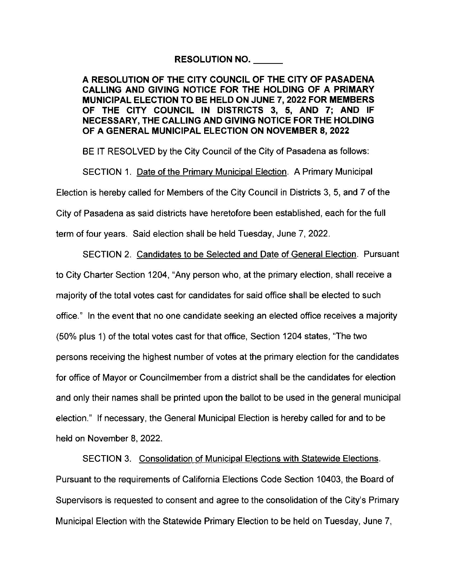## RESOLUTION NO. \_\_

A RESOLUTION OF THE CITY COUNCIL OF THE CITY OF PASADENA CALLING AND GIVING NOTICE FOR THE HOLDING OF A PRIMARY MUNICIPAL ELECTION TO BE HELD ON JUNE 7, 2022 FOR MEMBERS OF THE CITY COUNCIL IN DISTRICTS 3, **5, AND** 7; AND IF **NECESSARY,** THE **CALLING AND GIVING NOTICE FOR** THE **HOLDING OF A GENERAL MUNICIPAL ELECTION ON NOVEMBER 8, 2022** 

BE IT RESOLVED by the City Council of the City of Pasadena as follows:

SECTION 1. Date of the Primary Municipal Election. A Primary Municipal

Election is hereby called for Members of the City Council in Districts 3, 5, and 7 of the

City of Pasadena as said districts have heretofore been established, each for the full

term of four years. Said election shall be held Tuesday, June 7, 2022.

SECTION 2. Candidates to be Selected and Date of General Election. Pursuant to City Charter Section 1204, "Any person who, at the primary election, shall receive a majority of the total votes cast for candidates for said office shall be elected to such office." In the event that no one candidate seeking an elected office receives a majority (50% plus 1) of the total votes cast for that office, Section 1204 states, "The two persons receiving the highest number of votes at the primary election for the candidates for office of Mayor or Councilmember from a district shall be the candidates for election and only their names shall be printed upon the ballot to be used in the general municipal election." If necessary, the General Municipal Election is hereby called for and to be held on November 8, 2022.

SECTION 3. Consolidation of Municipal Elections with Statewide Elections. Pursuant to the requirements of California Elections Code Section 10403, the Board of Supervisors is requested to consent and agree to the consolidation of the City's Primary Municipal Election with the Statewide Primary Election to be held on Tuesday, June 7,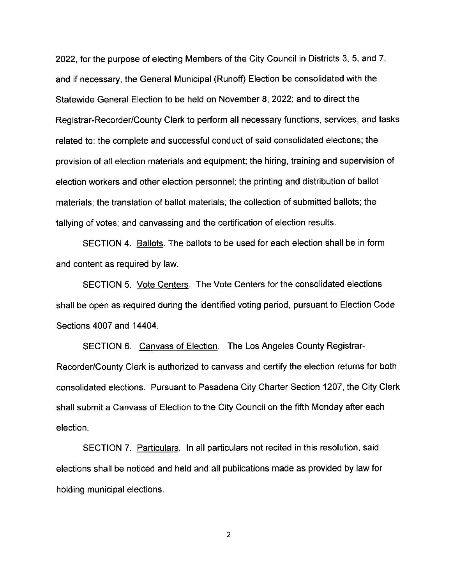2022, for the purpose of electing Members of the City Council in Districts 3, 5, and 7, and if necessary, the General Municipal (Runoff) Election be consolidated with the Statewide General Election to be held on November 8, 2022; and to direct the Registrar-Recorder/County Clerk to perform all necessary functions, services, and tasks related to: the complete and successful conduct of said consolidated elections; the provision of all election materials and equipment; the hiring, training and supervision of election workers and other election personnel; the printing and distribution of ballot materials; the translation of ballot materials; the collection of submitted ballots; the tallying of votes; and canvassing and the certification of election results.

SECTION 4. Ballots. The ballots to be used for each election shall be in form and content as required by law.

SECTION 5. Vote Centers. The Vote Centers for the consolidated elections shall be open as required during the identified voting period, pursuant to Election Code Sections 4007 and 14404.

SECTION 6. Canvass of Election. The Los Angeles County Registrar-Recorder/County Clerk is authorized to canvass and certify the election returns for both consolidated elections. Pursuant to Pasadena City Charter Section 1207, the City Clerk shall submit a Canvass of Election to the City Council on the fifth Monday after each election.

SECTION 7. Particulars. In all particulars not recited in this resolution, said elections shall be noticed and held and all publications made as provided by law for holding municipal elections.

2